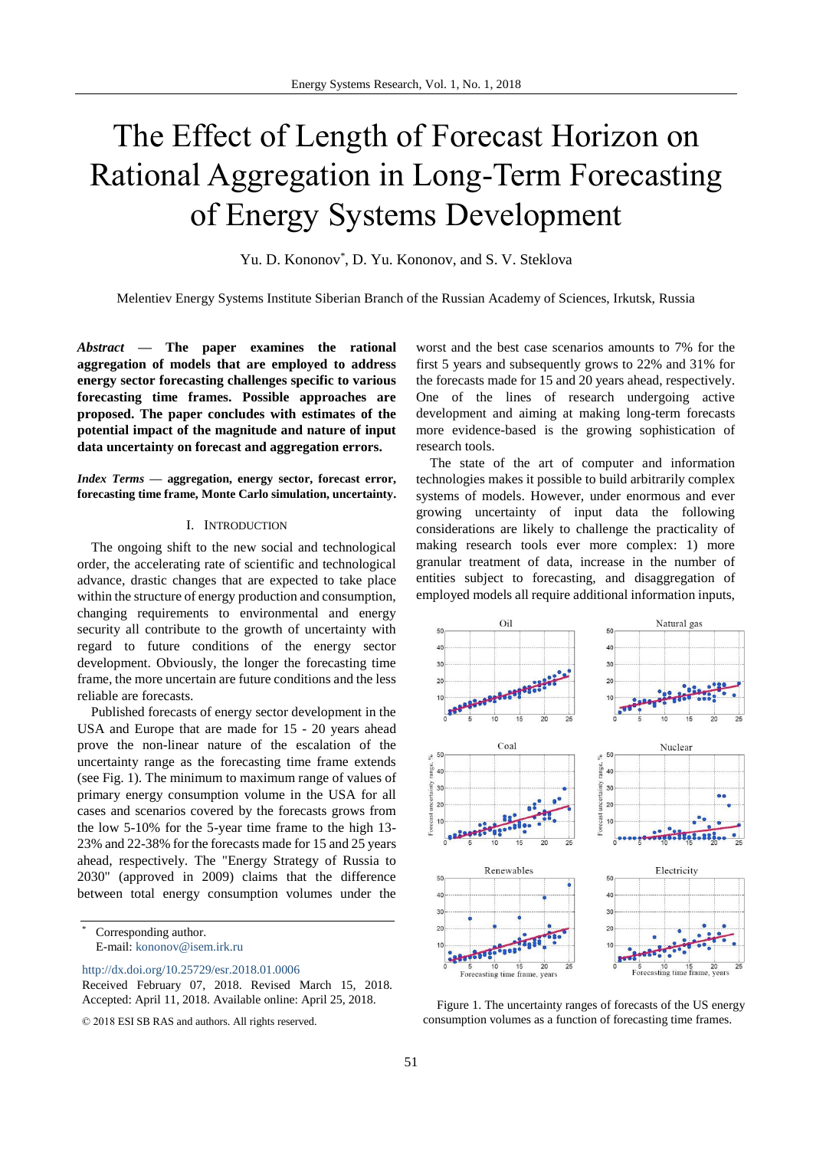# The Effect of Length of Forecast Horizon on Rational Aggregation in Long-Term Forecasting of Energy Systems Development

Yu. D. Kononov<sup>\*</sup>, D. Yu. Kononov, and S. V. Steklova

Melentiev Energy Systems Institute Siberian Branch of the Russian Academy of Sciences, Irkutsk, Russia

*Abstract* **— The paper examines the rational aggregation of models that are employed to address energy sector forecasting challenges specific to various forecasting time frames. Possible approaches are proposed. The paper concludes with estimates of the potential impact of the magnitude and nature of input data uncertainty on forecast and aggregation errors.**

*Index Terms* **— aggregation, energy sector, forecast error, forecasting time frame, Monte Carlo simulation, uncertainty.** 

#### I. INTRODUCTION

The ongoing shift to the new social and technological order, the accelerating rate of scientific and technological advance, drastic changes that are expected to take place within the structure of energy production and consumption, changing requirements to environmental and energy security all contribute to the growth of uncertainty with regard to future conditions of the energy sector development. Obviously, the longer the forecasting time frame, the more uncertain are future conditions and the less reliable are forecasts.

Published forecasts of energy sector development in the USA and Europe that are made for 15 - 20 years ahead prove the non-linear nature of the escalation of the uncertainty range as the forecasting time frame extends (see Fig. 1). The minimum to maximum range of values of primary energy consumption volume in the USA for all cases and scenarios covered by the forecasts grows from the low 5-10% for the 5-year time frame to the high 13- 23% and 22-38% for the forecasts made for 15 and 25 years ahead, respectively. The "Energy Strategy of Russia to 2030" (approved in 2009) claims that the difference between total energy consumption volumes under the

Corresponding author. E-mail[: kononov@isem.irk.ru](mailto:kononov@isem.irk.ru)

<http://dx.doi.org/10.25729/esr.2018.01.0006>

© 2018 ESI SB RAS and authors. All rights reserved.

worst and the best case scenarios amounts to 7% for the first 5 years and subsequently grows to 22% and 31% for the forecasts made for 15 and 20 years ahead, respectively. One of the lines of research undergoing active development and aiming at making long-term forecasts more evidence-based is the growing sophistication of research tools.

The state of the art of computer and information technologies makes it possible to build arbitrarily complex systems of models. However, under enormous and ever growing uncertainty of input data the following considerations are likely to challenge the practicality of making research tools ever more complex: 1) more granular treatment of data, increase in the number of entities subject to forecasting, and disaggregation of employed models all require additional information inputs,



Figure 1. The uncertainty ranges of forecasts of the US energy consumption volumes as a function of forecasting time frames.

Received February 07, 2018. Revised March 15, 2018. Accepted: April 11, 2018. Available online: April 25, 2018.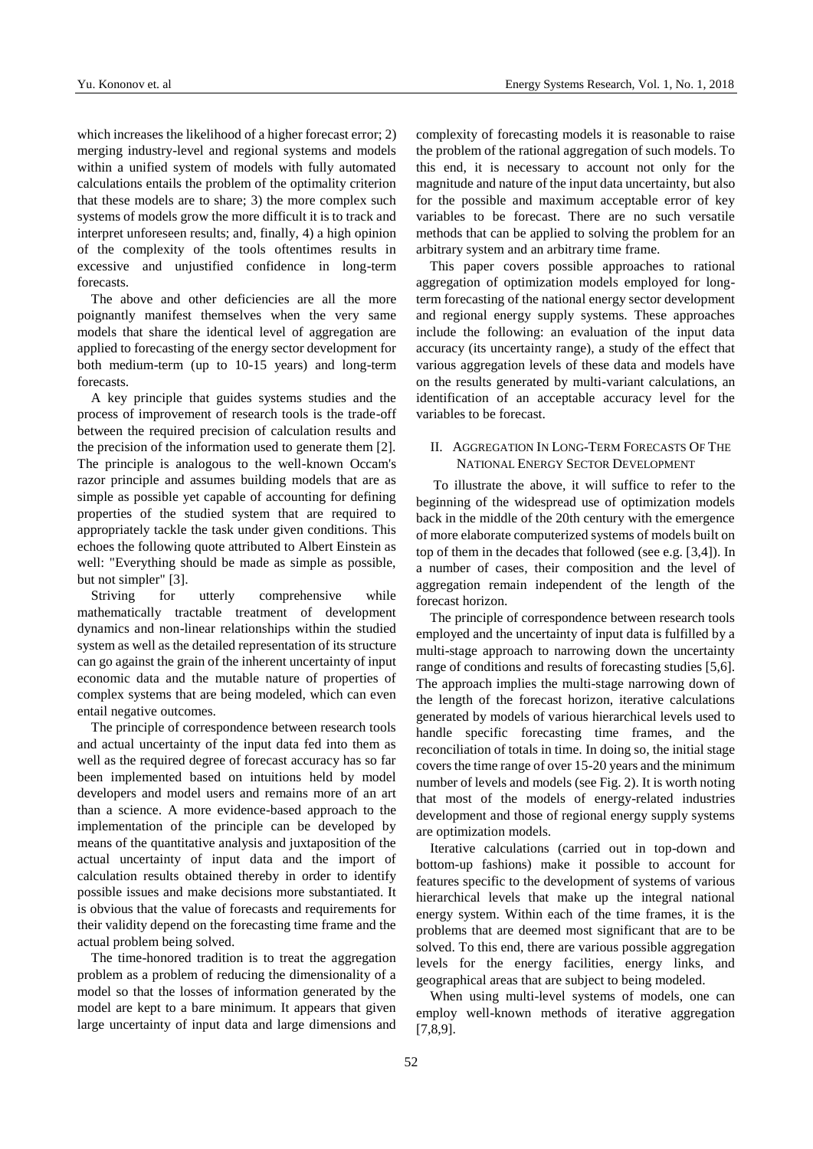which increases the likelihood of a higher forecast error; 2) merging industry-level and regional systems and models within a unified system of models with fully automated calculations entails the problem of the optimality criterion that these models are to share; 3) the more complex such systems of models grow the more difficult it is to track and interpret unforeseen results; and, finally, 4) a high opinion of the complexity of the tools oftentimes results in excessive and unjustified confidence in long-term forecasts.

The above and other deficiencies are all the more poignantly manifest themselves when the very same models that share the identical level of aggregation are applied to forecasting of the energy sector development for both medium-term (up to 10-15 years) and long-term forecasts.

A key principle that guides systems studies and the process of improvement of research tools is the trade-off between the required precision of calculation results and the precision of the information used to generate them [2]. The principle is analogous to the well-known Occam's razor principle and assumes building models that are as simple as possible yet capable of accounting for defining properties of the studied system that are required to appropriately tackle the task under given conditions. This echoes the following quote attributed to Albert Einstein as well: "Everything should be made as simple as possible, but not simpler" [3].

Striving for utterly comprehensive while mathematically tractable treatment of development dynamics and non-linear relationships within the studied system as well as the detailed representation of its structure can go against the grain of the inherent uncertainty of input economic data and the mutable nature of properties of complex systems that are being modeled, which can even entail negative outcomes.

The principle of correspondence between research tools and actual uncertainty of the input data fed into them as well as the required degree of forecast accuracy has so far been implemented based on intuitions held by model developers and model users and remains more of an art than a science. A more evidence-based approach to the implementation of the principle can be developed by means of the quantitative analysis and juxtaposition of the actual uncertainty of input data and the import of calculation results obtained thereby in order to identify possible issues and make decisions more substantiated. It is obvious that the value of forecasts and requirements for their validity depend on the forecasting time frame and the actual problem being solved.

The time-honored tradition is to treat the aggregation problem as a problem of reducing the dimensionality of a model so that the losses of information generated by the model are kept to a bare minimum. It appears that given large uncertainty of input data and large dimensions and complexity of forecasting models it is reasonable to raise the problem of the rational aggregation of such models. To this end, it is necessary to account not only for the magnitude and nature of the input data uncertainty, but also for the possible and maximum acceptable error of key variables to be forecast. There are no such versatile methods that can be applied to solving the problem for an arbitrary system and an arbitrary time frame.

This paper covers possible approaches to rational aggregation of optimization models employed for longterm forecasting of the national energy sector development and regional energy supply systems. These approaches include the following: an evaluation of the input data accuracy (its uncertainty range), a study of the effect that various aggregation levels of these data and models have on the results generated by multi-variant calculations, an identification of an acceptable accuracy level for the variables to be forecast.

### II. AGGREGATION IN LONG-TERM FORECASTS OF THE NATIONAL ENERGY SECTOR DEVELOPMENT

To illustrate the above, it will suffice to refer to the beginning of the widespread use of optimization models back in the middle of the 20th century with the emergence of more elaborate computerized systems of models built on top of them in the decades that followed (see e.g. [3,4]). In a number of cases, their composition and the level of aggregation remain independent of the length of the forecast horizon.

The principle of correspondence between research tools employed and the uncertainty of input data is fulfilled by a multi-stage approach to narrowing down the uncertainty range of conditions and results of forecasting studies [5,6]. The approach implies the multi-stage narrowing down of the length of the forecast horizon, iterative calculations generated by models of various hierarchical levels used to handle specific forecasting time frames, and the reconciliation of totals in time. In doing so, the initial stage covers the time range of over 15-20 years and the minimum number of levels and models (see Fig. 2). It is worth noting that most of the models of energy-related industries development and those of regional energy supply systems are optimization models.

Iterative calculations (carried out in top-down and bottom-up fashions) make it possible to account for features specific to the development of systems of various hierarchical levels that make up the integral national energy system. Within each of the time frames, it is the problems that are deemed most significant that are to be solved. To this end, there are various possible aggregation levels for the energy facilities, energy links, and geographical areas that are subject to being modeled.

When using multi-level systems of models, one can employ well-known methods of iterative aggregation [7,8,9].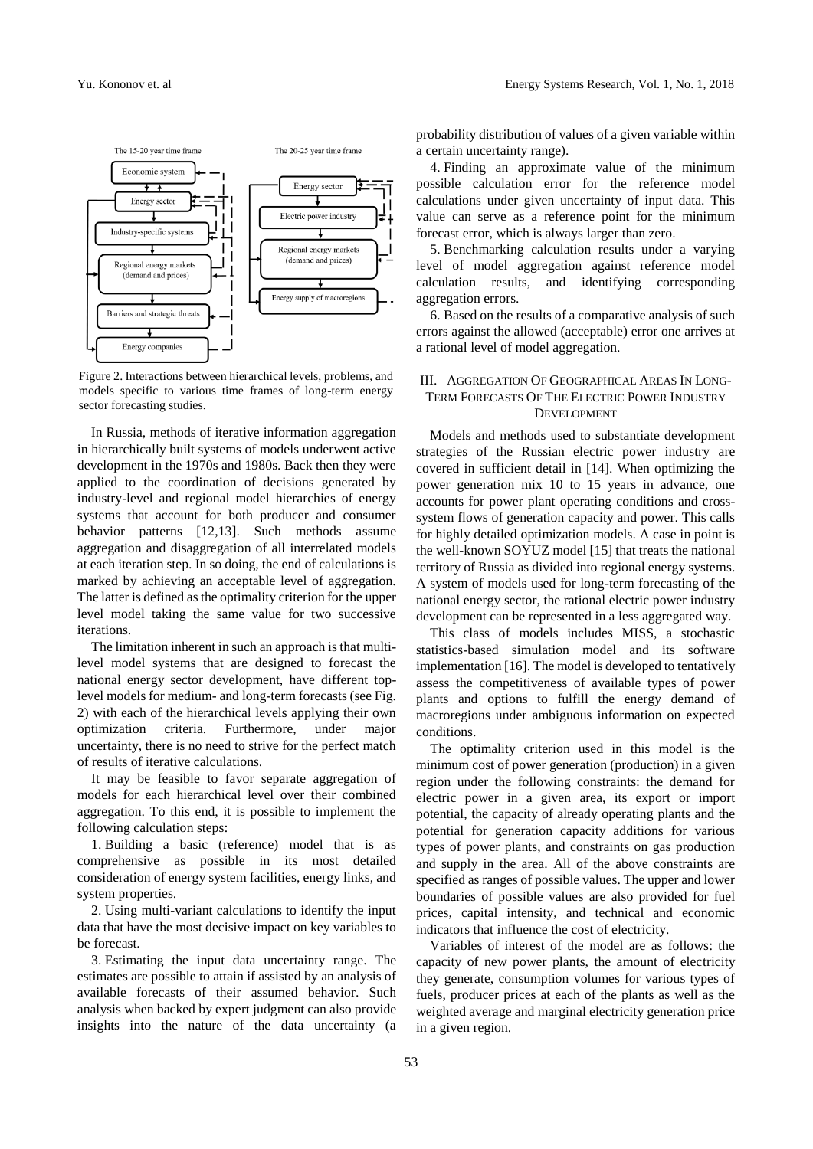

Figure 2. Interactions between hierarchical levels, problems, and models specific to various time frames of long-term energy sector forecasting studies.

In Russia, methods of iterative information aggregation in hierarchically built systems of models underwent active development in the 1970s and 1980s. Back then they were applied to the coordination of decisions generated by industry-level and regional model hierarchies of energy systems that account for both producer and consumer behavior patterns [12,13]. Such methods assume aggregation and disaggregation of all interrelated models at each iteration step. In so doing, the end of calculations is marked by achieving an acceptable level of aggregation. The latter is defined as the optimality criterion for the upper level model taking the same value for two successive iterations.

The limitation inherent in such an approach is that multilevel model systems that are designed to forecast the national energy sector development, have different toplevel models for medium- and long-term forecasts (see Fig. 2) with each of the hierarchical levels applying their own optimization criteria. Furthermore, under major uncertainty, there is no need to strive for the perfect match of results of iterative calculations.

It may be feasible to favor separate aggregation of models for each hierarchical level over their combined aggregation. To this end, it is possible to implement the following calculation steps:

1. Building a basic (reference) model that is as comprehensive as possible in its most detailed consideration of energy system facilities, energy links, and system properties.

2. Using multi-variant calculations to identify the input data that have the most decisive impact on key variables to be forecast.

3. Estimating the input data uncertainty range. The estimates are possible to attain if assisted by an analysis of available forecasts of their assumed behavior. Such analysis when backed by expert judgment can also provide insights into the nature of the data uncertainty (a probability distribution of values of a given variable within a certain uncertainty range).

4. Finding an approximate value of the minimum possible calculation error for the reference model calculations under given uncertainty of input data. This value can serve as a reference point for the minimum forecast error, which is always larger than zero.

5. Benchmarking calculation results under a varying level of model aggregation against reference model calculation results, and identifying corresponding aggregation errors.

6. Based on the results of a comparative analysis of such errors against the allowed (acceptable) error one arrives at a rational level of model aggregation.

# III. AGGREGATION OF GEOGRAPHICAL AREAS IN LONG-TERM FORECASTS OF THE ELECTRIC POWER INDUSTRY DEVELOPMENT

Models and methods used to substantiate development strategies of the Russian electric power industry are covered in sufficient detail in [14]. When optimizing the power generation mix 10 to 15 years in advance, one accounts for power plant operating conditions and crosssystem flows of generation capacity and power. This calls for highly detailed optimization models. A case in point is the well-known SOYUZ model [15] that treats the national territory of Russia as divided into regional energy systems. A system of models used for long-term forecasting of the national energy sector, the rational electric power industry development can be represented in a less aggregated way.

This class of models includes MISS, a stochastic statistics-based simulation model and its software implementation [16]. The model is developed to tentatively assess the competitiveness of available types of power plants and options to fulfill the energy demand of macroregions under ambiguous information on expected conditions.

The optimality criterion used in this model is the minimum cost of power generation (production) in a given region under the following constraints: the demand for electric power in a given area, its export or import potential, the capacity of already operating plants and the potential for generation capacity additions for various types of power plants, and constraints on gas production and supply in the area. All of the above constraints are specified as ranges of possible values. The upper and lower boundaries of possible values are also provided for fuel prices, capital intensity, and technical and economic indicators that influence the cost of electricity.

Variables of interest of the model are as follows: the capacity of new power plants, the amount of electricity they generate, consumption volumes for various types of fuels, producer prices at each of the plants as well as the weighted average and marginal electricity generation price in a given region.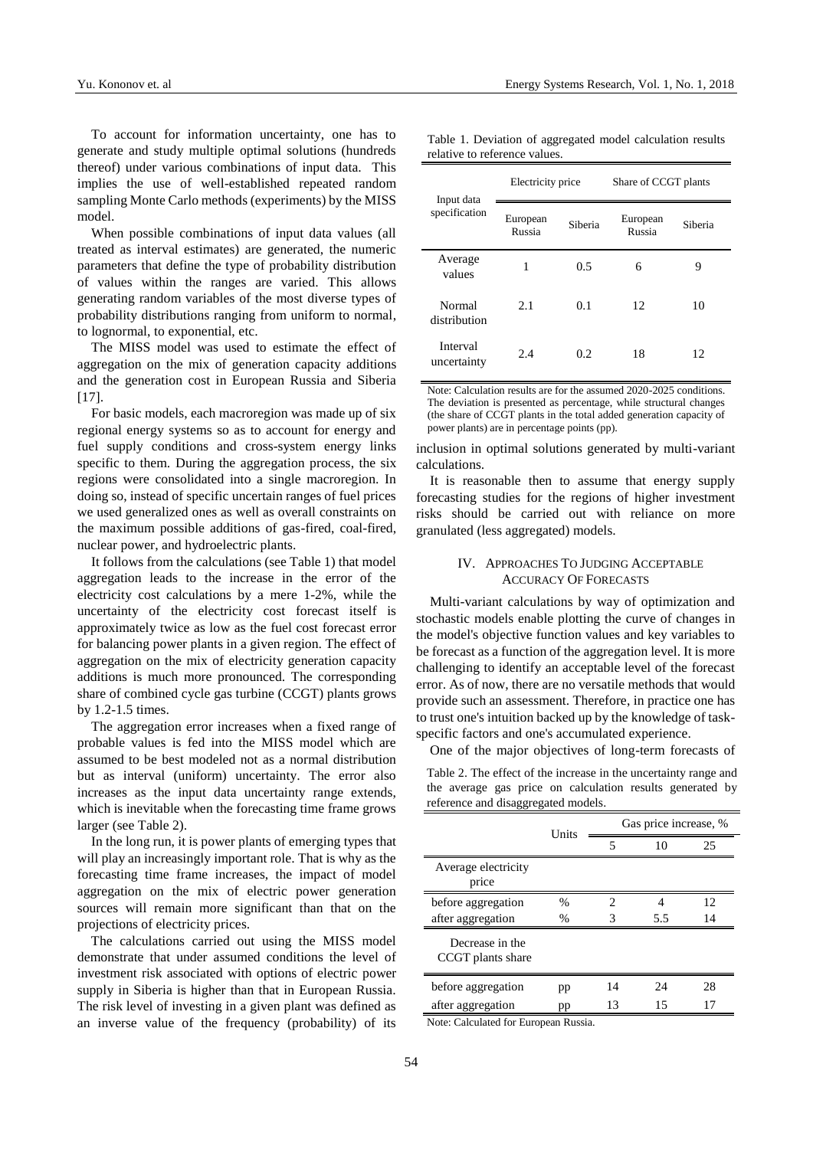To account for information uncertainty, one has to generate and study multiple optimal solutions (hundreds thereof) under various combinations of input data. This implies the use of well-established repeated random sampling Monte Carlo methods (experiments) by the MISS model.

When possible combinations of input data values (all treated as interval estimates) are generated, the numeric parameters that define the type of probability distribution of values within the ranges are varied. This allows generating random variables of the most diverse types of probability distributions ranging from uniform to normal, to lognormal, to exponential, etc.

The MISS model was used to estimate the effect of aggregation on the mix of generation capacity additions and the generation cost in European Russia and Siberia [17].

For basic models, each macroregion was made up of six regional energy systems so as to account for energy and fuel supply conditions and cross-system energy links specific to them. During the aggregation process, the six regions were consolidated into a single macroregion. In doing so, instead of specific uncertain ranges of fuel prices we used generalized ones as well as overall constraints on the maximum possible additions of gas-fired, coal-fired, nuclear power, and hydroelectric plants.

It follows from the calculations (see Table 1) that model aggregation leads to the increase in the error of the electricity cost calculations by a mere 1-2%, while the uncertainty of the electricity cost forecast itself is approximately twice as low as the fuel cost forecast error for balancing power plants in a given region. The effect of aggregation on the mix of electricity generation capacity additions is much more pronounced. The corresponding share of combined cycle gas turbine (CCGT) plants grows by 1.2-1.5 times.

The aggregation error increases when a fixed range of probable values is fed into the MISS model which are assumed to be best modeled not as a normal distribution but as interval (uniform) uncertainty. The error also increases as the input data uncertainty range extends, which is inevitable when the forecasting time frame grows larger (see Table 2).

In the long run, it is power plants of emerging types that will play an increasingly important role. That is why as the forecasting time frame increases, the impact of model aggregation on the mix of electric power generation sources will remain more significant than that on the projections of electricity prices.

The calculations carried out using the MISS model demonstrate that under assumed conditions the level of investment risk associated with options of electric power supply in Siberia is higher than that in European Russia. The risk level of investing in a given plant was defined as an inverse value of the frequency (probability) of its

| Table 1. Deviation of aggregated model calculation results |  |  |
|------------------------------------------------------------|--|--|
| relative to reference values.                              |  |  |

| Input data<br>specification | Electricity price  |         | Share of CCGT plants |         |  |
|-----------------------------|--------------------|---------|----------------------|---------|--|
|                             | European<br>Russia | Siberia | European<br>Russia   | Siberia |  |
| Average<br>values           | 1                  | 0.5     | 6                    | 9       |  |
| Normal<br>distribution      | 2.1                | 0.1     | 12                   | 10      |  |
| Interval<br>uncertainty     | 2.4                | 0.2     | 18                   | 12      |  |

Note: Calculation results are for the assumed 2020-2025 conditions. The deviation is presented as percentage, while structural changes (the share of CCGT plants in the total added generation capacity of power plants) are in percentage points (pp).

inclusion in optimal solutions generated by multi-variant calculations.

It is reasonable then to assume that energy supply forecasting studies for the regions of higher investment risks should be carried out with reliance on more granulated (less aggregated) models.

## IV. APPROACHES TO JUDGING ACCEPTABLE ACCURACY OF FORECASTS

Multi-variant calculations by way of optimization and stochastic models enable plotting the curve of changes in the model's objective function values and key variables to be forecast as a function of the aggregation level. It is more challenging to identify an acceptable level of the forecast error. As of now, there are no versatile methods that would provide such an assessment. Therefore, in practice one has to trust one's intuition backed up by the knowledge of taskspecific factors and one's accumulated experience.

One of the major objectives of long-term forecasts of

Table 2. The effect of the increase in the uncertainty range and the average gas price on calculation results generated by reference and disaggregated models.

|                                      | Units         | Gas price increase, % |     |    |
|--------------------------------------|---------------|-----------------------|-----|----|
|                                      |               | 5                     | 10  | 25 |
| Average electricity<br>price         |               |                       |     |    |
| before aggregation                   | $\%$          | 2                     |     | 12 |
| after aggregation                    | $\frac{0}{0}$ | 3                     | 5.5 | 14 |
| Decrease in the<br>CCGT plants share |               |                       |     |    |
| before aggregation                   | pp            | 14                    | 24  | 28 |
| after aggregation                    | pp            | 13                    | 15  | 17 |

Note: Calculated for European Russia.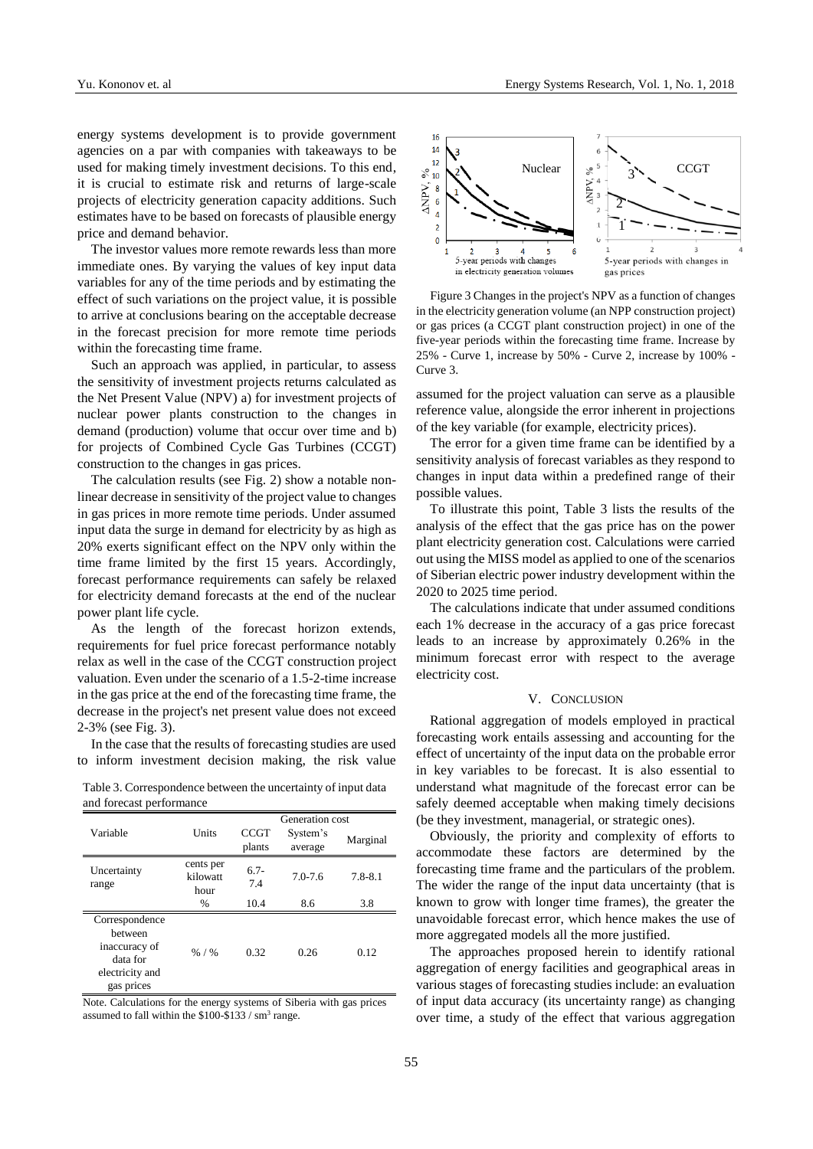energy systems development is to provide government agencies on a par with companies with takeaways to be used for making timely investment decisions. To this end, it is crucial to estimate risk and returns of large-scale projects of electricity generation capacity additions. Such estimates have to be based on forecasts of plausible energy price and demand behavior.

The investor values more remote rewards less than more immediate ones. By varying the values of key input data variables for any of the time periods and by estimating the effect of such variations on the project value, it is possible to arrive at conclusions bearing on the acceptable decrease in the forecast precision for more remote time periods within the forecasting time frame.

Such an approach was applied, in particular, to assess the sensitivity of investment projects returns calculated as the Net Present Value (NPV) a) for investment projects of nuclear power plants construction to the changes in demand (production) volume that occur over time and b) for projects of Combined Cycle Gas Turbines (CCGT) construction to the changes in gas prices.

The calculation results (see Fig. 2) show a notable nonlinear decrease in sensitivity of the project value to changes in gas prices in more remote time periods. Under assumed input data the surge in demand for electricity by as high as 20% exerts significant effect on the NPV only within the time frame limited by the first 15 years. Accordingly, forecast performance requirements can safely be relaxed for electricity demand forecasts at the end of the nuclear power plant life cycle.

As the length of the forecast horizon extends, requirements for fuel price forecast performance notably relax as well in the case of the CCGT construction project valuation. Even under the scenario of a 1.5-2-time increase in the gas price at the end of the forecasting time frame, the decrease in the project's net present value does not exceed 2-3% (see Fig. 3).

In the case that the results of forecasting studies are used to inform investment decision making, the risk value

Table 3. Correspondence between the uncertainty of input data and forecast performance

|                                                                                         |                               | Generation cost       |                     |             |  |
|-----------------------------------------------------------------------------------------|-------------------------------|-----------------------|---------------------|-------------|--|
| Variable                                                                                | Units                         | <b>CCGT</b><br>plants | System's<br>average | Marginal    |  |
|                                                                                         |                               |                       |                     |             |  |
| Uncertainty<br>range                                                                    | cents per<br>kilowatt<br>hour | $6.7-$<br>7.4         | $7.0 - 7.6$         | $7.8 - 8.1$ |  |
|                                                                                         | $\%$                          | 10.4                  | 8.6                 | 3.8         |  |
| Correspondence<br>between<br>inaccuracy of<br>data for<br>electricity and<br>gas prices | $% / \%$                      | 0.32                  | 0.26                | 0.12        |  |

Note. Calculations for the energy systems of Siberia with gas prices assumed to fall within the  $$100-\$133 / sm<sup>3</sup>$  range.



Figure 3 Changes in the project's NPV as a function of changes in the electricity generation volume (an NPP construction project) or gas prices (a CCGT plant construction project) in one of the five-year periods within the forecasting time frame. Increase by 25% - Curve 1, increase by 50% - Curve 2, increase by 100% - Curve 3.

assumed for the project valuation can serve as a plausible reference value, alongside the error inherent in projections of the key variable (for example, electricity prices).

The error for a given time frame can be identified by a sensitivity analysis of forecast variables as they respond to changes in input data within a predefined range of their possible values.

To illustrate this point, Table 3 lists the results of the analysis of the effect that the gas price has on the power plant electricity generation cost. Calculations were carried out using the MISS model as applied to one of the scenarios of Siberian electric power industry development within the 2020 to 2025 time period.

The calculations indicate that under assumed conditions each 1% decrease in the accuracy of a gas price forecast leads to an increase by approximately 0.26% in the minimum forecast error with respect to the average electricity cost.

## V. CONCLUSION

Rational aggregation of models employed in practical forecasting work entails assessing and accounting for the effect of uncertainty of the input data on the probable error in key variables to be forecast. It is also essential to understand what magnitude of the forecast error can be safely deemed acceptable when making timely decisions (be they investment, managerial, or strategic ones).

Obviously, the priority and complexity of efforts to accommodate these factors are determined by the forecasting time frame and the particulars of the problem. The wider the range of the input data uncertainty (that is known to grow with longer time frames), the greater the unavoidable forecast error, which hence makes the use of more aggregated models all the more justified.

The approaches proposed herein to identify rational aggregation of energy facilities and geographical areas in various stages of forecasting studies include: an evaluation of input data accuracy (its uncertainty range) as changing over time, a study of the effect that various aggregation